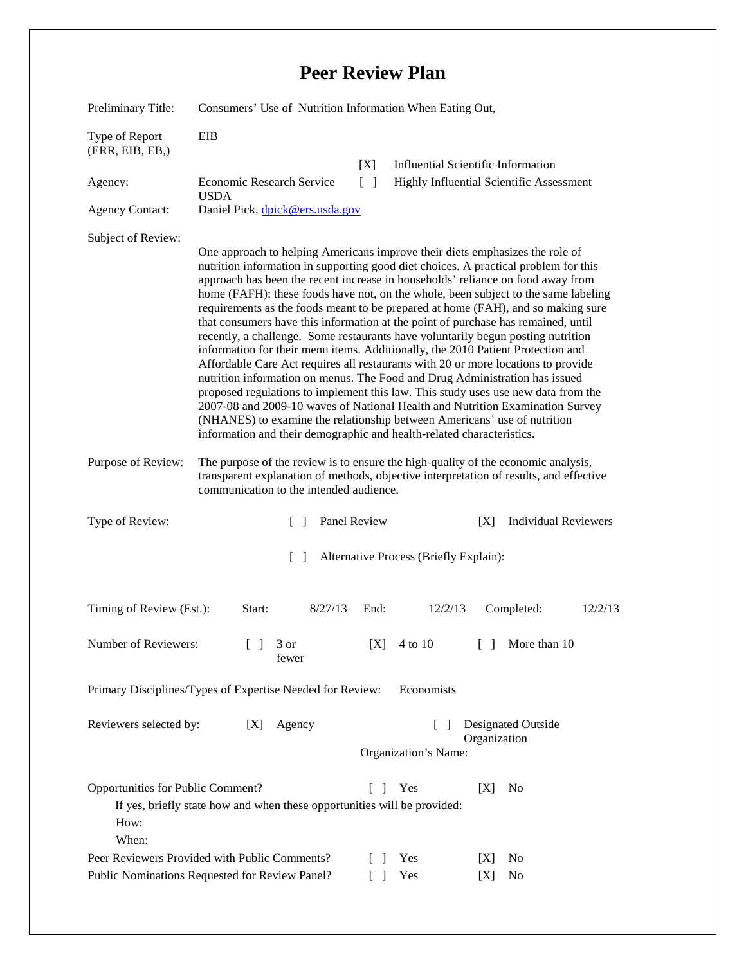## **Peer Review Plan**

| Preliminary Title:                                                      | Consumers' Use of Nutrition Information When Eating Out,                                                                                                                                                                                                                                                                                                                                                                                                                                                                                                                                                                                                                                                                                                                                                                                                                                                                                                                                                                                                                                                                                                                                    |              |                                                            |                                                 |                                 |                             |         |
|-------------------------------------------------------------------------|---------------------------------------------------------------------------------------------------------------------------------------------------------------------------------------------------------------------------------------------------------------------------------------------------------------------------------------------------------------------------------------------------------------------------------------------------------------------------------------------------------------------------------------------------------------------------------------------------------------------------------------------------------------------------------------------------------------------------------------------------------------------------------------------------------------------------------------------------------------------------------------------------------------------------------------------------------------------------------------------------------------------------------------------------------------------------------------------------------------------------------------------------------------------------------------------|--------------|------------------------------------------------------------|-------------------------------------------------|---------------------------------|-----------------------------|---------|
| Type of Report<br>(ERR, EIB, EB,)                                       | EIB                                                                                                                                                                                                                                                                                                                                                                                                                                                                                                                                                                                                                                                                                                                                                                                                                                                                                                                                                                                                                                                                                                                                                                                         |              |                                                            |                                                 |                                 |                             |         |
|                                                                         |                                                                                                                                                                                                                                                                                                                                                                                                                                                                                                                                                                                                                                                                                                                                                                                                                                                                                                                                                                                                                                                                                                                                                                                             |              | [X]                                                        | <b>Influential Scientific Information</b>       |                                 |                             |         |
| Agency:                                                                 | <b>Economic Research Service</b><br><b>USDA</b>                                                                                                                                                                                                                                                                                                                                                                                                                                                                                                                                                                                                                                                                                                                                                                                                                                                                                                                                                                                                                                                                                                                                             |              | $\lceil \; \rceil$                                         | <b>Highly Influential Scientific Assessment</b> |                                 |                             |         |
| <b>Agency Contact:</b>                                                  | Daniel Pick, dpick@ers.usda.gov                                                                                                                                                                                                                                                                                                                                                                                                                                                                                                                                                                                                                                                                                                                                                                                                                                                                                                                                                                                                                                                                                                                                                             |              |                                                            |                                                 |                                 |                             |         |
| Subject of Review:                                                      | One approach to helping Americans improve their diets emphasizes the role of<br>nutrition information in supporting good diet choices. A practical problem for this<br>approach has been the recent increase in households' reliance on food away from<br>home (FAFH): these foods have not, on the whole, been subject to the same labeling<br>requirements as the foods meant to be prepared at home (FAH), and so making sure<br>that consumers have this information at the point of purchase has remained, until<br>recently, a challenge. Some restaurants have voluntarily begun posting nutrition<br>information for their menu items. Additionally, the 2010 Patient Protection and<br>Affordable Care Act requires all restaurants with 20 or more locations to provide<br>nutrition information on menus. The Food and Drug Administration has issued<br>proposed regulations to implement this law. This study uses use new data from the<br>2007-08 and 2009-10 waves of National Health and Nutrition Examination Survey<br>(NHANES) to examine the relationship between Americans' use of nutrition<br>information and their demographic and health-related characteristics. |              |                                                            |                                                 |                                 |                             |         |
| Purpose of Review:                                                      | The purpose of the review is to ensure the high-quality of the economic analysis,<br>transparent explanation of methods, objective interpretation of results, and effective<br>communication to the intended audience.                                                                                                                                                                                                                                                                                                                                                                                                                                                                                                                                                                                                                                                                                                                                                                                                                                                                                                                                                                      |              |                                                            |                                                 |                                 |                             |         |
| Type of Review:                                                         | $\Box$                                                                                                                                                                                                                                                                                                                                                                                                                                                                                                                                                                                                                                                                                                                                                                                                                                                                                                                                                                                                                                                                                                                                                                                      | Panel Review |                                                            |                                                 | [X]                             | <b>Individual Reviewers</b> |         |
| Alternative Process (Briefly Explain):<br>$\Box$                        |                                                                                                                                                                                                                                                                                                                                                                                                                                                                                                                                                                                                                                                                                                                                                                                                                                                                                                                                                                                                                                                                                                                                                                                             |              |                                                            |                                                 |                                 |                             |         |
| Timing of Review (Est.):                                                | Start:                                                                                                                                                                                                                                                                                                                                                                                                                                                                                                                                                                                                                                                                                                                                                                                                                                                                                                                                                                                                                                                                                                                                                                                      | 8/27/13      | End:                                                       | 12/2/13                                         |                                 | Completed:                  | 12/2/13 |
| Number of Reviewers:                                                    | 3 or<br>fewer                                                                                                                                                                                                                                                                                                                                                                                                                                                                                                                                                                                                                                                                                                                                                                                                                                                                                                                                                                                                                                                                                                                                                                               |              | [X]                                                        | 4 to 10                                         | $\begin{bmatrix} \end{bmatrix}$ | More than 10                |         |
| Primary Disciplines/Types of Expertise Needed for Review:<br>Economists |                                                                                                                                                                                                                                                                                                                                                                                                                                                                                                                                                                                                                                                                                                                                                                                                                                                                                                                                                                                                                                                                                                                                                                                             |              |                                                            |                                                 |                                 |                             |         |
| Reviewers selected by:<br>[X]<br>Agency                                 |                                                                                                                                                                                                                                                                                                                                                                                                                                                                                                                                                                                                                                                                                                                                                                                                                                                                                                                                                                                                                                                                                                                                                                                             |              | Designated Outside<br>Organization<br>Organization's Name: |                                                 |                                 |                             |         |
| Opportunities for Public Comment?<br>How:<br>When:                      | If yes, briefly state how and when these opportunities will be provided:                                                                                                                                                                                                                                                                                                                                                                                                                                                                                                                                                                                                                                                                                                                                                                                                                                                                                                                                                                                                                                                                                                                    |              | $\Box$                                                     | Yes                                             | [X]                             | N <sub>0</sub>              |         |
| Peer Reviewers Provided with Public Comments?                           |                                                                                                                                                                                                                                                                                                                                                                                                                                                                                                                                                                                                                                                                                                                                                                                                                                                                                                                                                                                                                                                                                                                                                                                             |              | $\Box$                                                     | Yes                                             | [X]                             | N <sub>0</sub>              |         |
| Public Nominations Requested for Review Panel?                          |                                                                                                                                                                                                                                                                                                                                                                                                                                                                                                                                                                                                                                                                                                                                                                                                                                                                                                                                                                                                                                                                                                                                                                                             |              | $\lceil$ 1                                                 | Yes                                             | [X]                             | No                          |         |